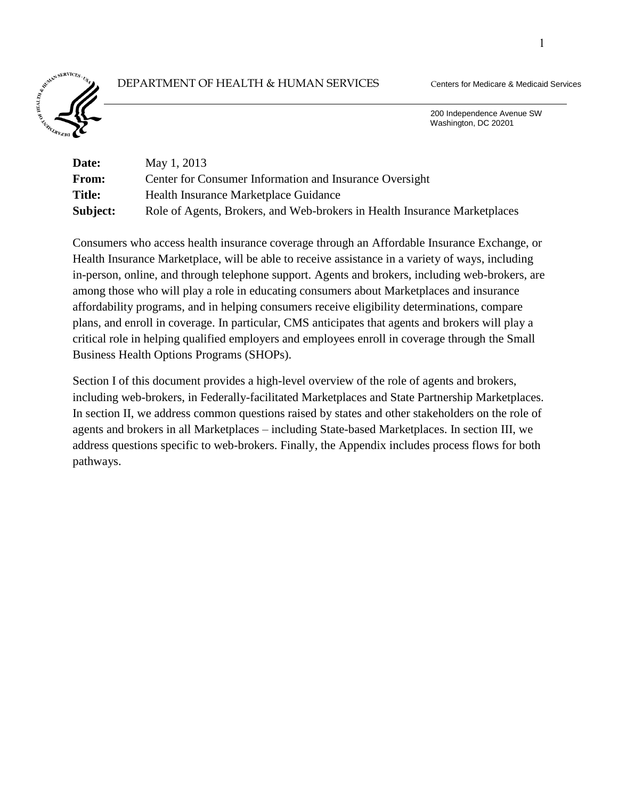# DEPARTMENT OF HEALTH & HUMAN SERVICES Centers for Medicare & Medicaid Services



 200 Independence Avenue SW Washington, DC 20201

| <b>Date:</b>  | May 1, 2013                                                               |
|---------------|---------------------------------------------------------------------------|
| From:         | Center for Consumer Information and Insurance Oversight                   |
| <b>Title:</b> | Health Insurance Marketplace Guidance                                     |
| Subject:      | Role of Agents, Brokers, and Web-brokers in Health Insurance Marketplaces |

Consumers who access health insurance coverage through an Affordable Insurance Exchange, or Health Insurance Marketplace, will be able to receive assistance in a variety of ways, including in-person, online, and through telephone support. Agents and brokers, including web-brokers, are among those who will play a role in educating consumers about Marketplaces and insurance affordability programs, and in helping consumers receive eligibility determinations, compare plans, and enroll in coverage. In particular, CMS anticipates that agents and brokers will play a critical role in helping qualified employers and employees enroll in coverage through the Small Business Health Options Programs (SHOPs).

Section I of this document provides a high-level overview of the role of agents and brokers, including web-brokers, in Federally-facilitated Marketplaces and State Partnership Marketplaces. In section II, we address common questions raised by states and other stakeholders on the role of agents and brokers in all Marketplaces – including State-based Marketplaces. In section III, we address questions specific to web-brokers. Finally, the Appendix includes process flows for both pathways.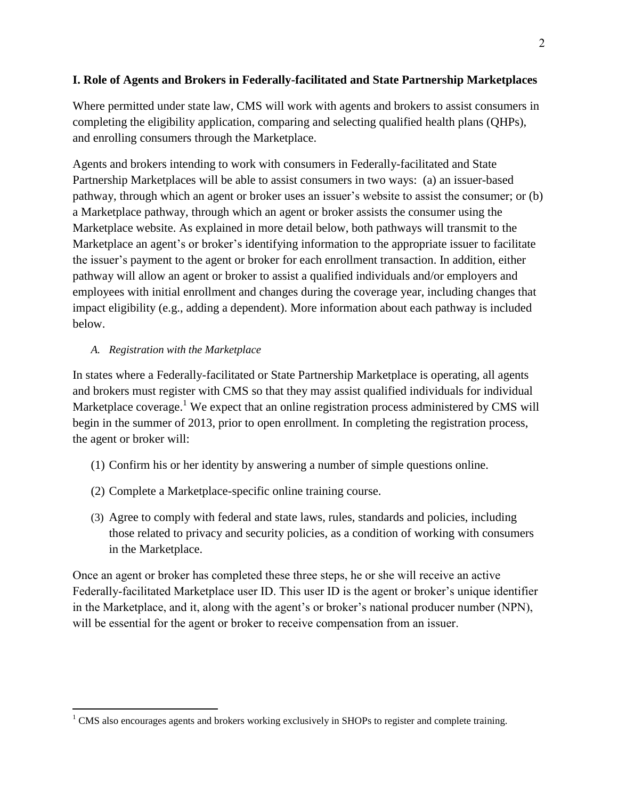# **I. Role of Agents and Brokers in Federally-facilitated and State Partnership Marketplaces**

Where permitted under state law, CMS will work with agents and brokers to assist consumers in completing the eligibility application, comparing and selecting qualified health plans (QHPs), and enrolling consumers through the Marketplace.

Agents and brokers intending to work with consumers in Federally-facilitated and State Partnership Marketplaces will be able to assist consumers in two ways: (a) an issuer-based pathway, through which an agent or broker uses an issuer's website to assist the consumer; or (b) a Marketplace pathway, through which an agent or broker assists the consumer using the Marketplace website. As explained in more detail below, both pathways will transmit to the Marketplace an agent's or broker's identifying information to the appropriate issuer to facilitate the issuer's payment to the agent or broker for each enrollment transaction. In addition, either pathway will allow an agent or broker to assist a qualified individuals and/or employers and employees with initial enrollment and changes during the coverage year, including changes that impact eligibility (e.g., adding a dependent). More information about each pathway is included below.

## *A. Registration with the Marketplace*

 $\overline{a}$ 

In states where a Federally-facilitated or State Partnership Marketplace is operating, all agents and brokers must register with CMS so that they may assist qualified individuals for individual Marketplace coverage.<sup>1</sup> We expect that an online registration process administered by CMS will begin in the summer of 2013, prior to open enrollment. In completing the registration process, the agent or broker will:

- (1) Confirm his or her identity by answering a number of simple questions online.
- (2) Complete a Marketplace-specific online training course.
- (3) Agree to comply with federal and state laws, rules, standards and policies, including those related to privacy and security policies, as a condition of working with consumers in the Marketplace.

Once an agent or broker has completed these three steps, he or she will receive an active Federally-facilitated Marketplace user ID. This user ID is the agent or broker's unique identifier in the Marketplace, and it, along with the agent's or broker's national producer number (NPN), will be essential for the agent or broker to receive compensation from an issuer.

<sup>&</sup>lt;sup>1</sup> CMS also encourages agents and brokers working exclusively in SHOPs to register and complete training.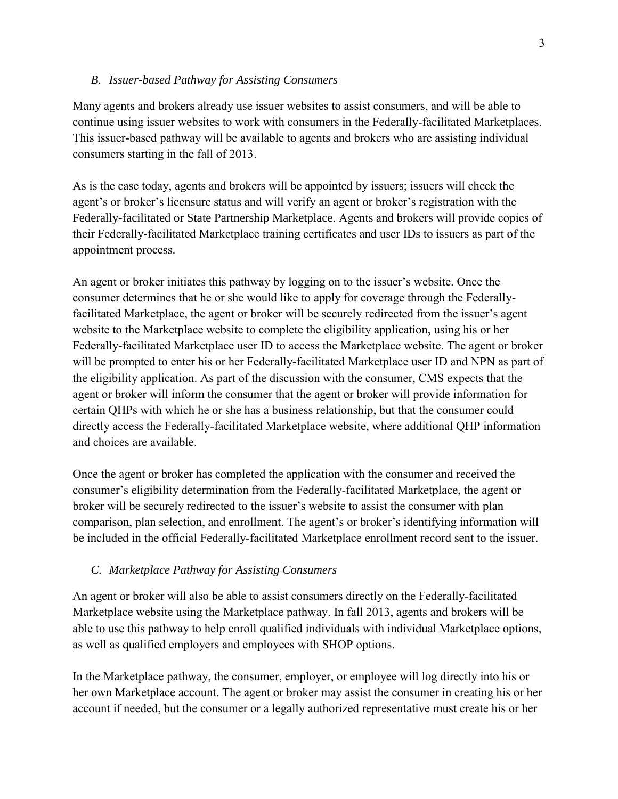#### *B. Issuer-based Pathway for Assisting Consumers*

Many agents and brokers already use issuer websites to assist consumers, and will be able to continue using issuer websites to work with consumers in the Federally-facilitated Marketplaces. This issuer-based pathway will be available to agents and brokers who are assisting individual consumers starting in the fall of 2013.

As is the case today, agents and brokers will be appointed by issuers; issuers will check the agent's or broker's licensure status and will verify an agent or broker's registration with the Federally-facilitated or State Partnership Marketplace. Agents and brokers will provide copies of their Federally-facilitated Marketplace training certificates and user IDs to issuers as part of the appointment process.

An agent or broker initiates this pathway by logging on to the issuer's website. Once the consumer determines that he or she would like to apply for coverage through the Federallyfacilitated Marketplace, the agent or broker will be securely redirected from the issuer's agent website to the Marketplace website to complete the eligibility application, using his or her Federally-facilitated Marketplace user ID to access the Marketplace website. The agent or broker will be prompted to enter his or her Federally-facilitated Marketplace user ID and NPN as part of the eligibility application. As part of the discussion with the consumer, CMS expects that the agent or broker will inform the consumer that the agent or broker will provide information for certain QHPs with which he or she has a business relationship, but that the consumer could directly access the Federally-facilitated Marketplace website, where additional QHP information and choices are available.

Once the agent or broker has completed the application with the consumer and received the consumer's eligibility determination from the Federally-facilitated Marketplace, the agent or broker will be securely redirected to the issuer's website to assist the consumer with plan comparison, plan selection, and enrollment. The agent's or broker's identifying information will be included in the official Federally-facilitated Marketplace enrollment record sent to the issuer.

### *C. Marketplace Pathway for Assisting Consumers*

An agent or broker will also be able to assist consumers directly on the Federally-facilitated Marketplace website using the Marketplace pathway. In fall 2013, agents and brokers will be able to use this pathway to help enroll qualified individuals with individual Marketplace options, as well as qualified employers and employees with SHOP options.

In the Marketplace pathway, the consumer, employer, or employee will log directly into his or her own Marketplace account. The agent or broker may assist the consumer in creating his or her account if needed, but the consumer or a legally authorized representative must create his or her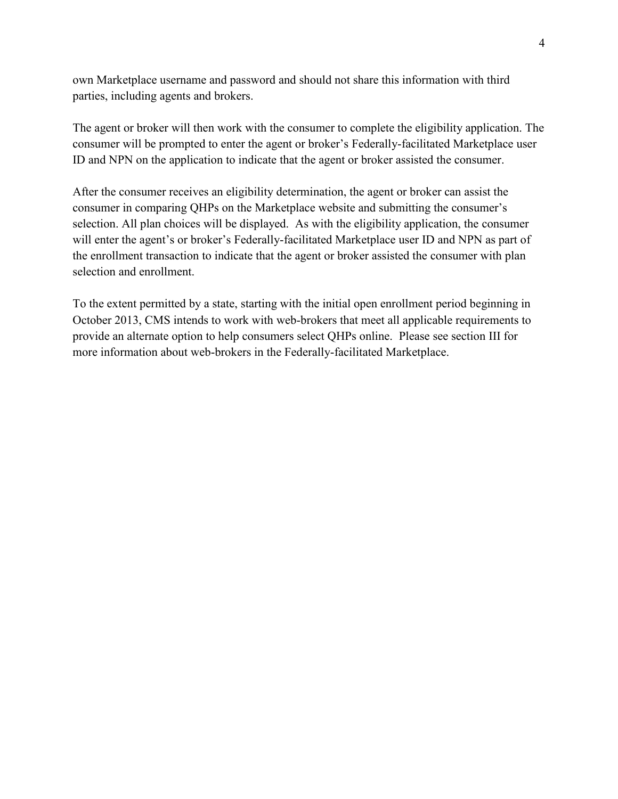own Marketplace username and password and should not share this information with third parties, including agents and brokers.

The agent or broker will then work with the consumer to complete the eligibility application. The consumer will be prompted to enter the agent or broker's Federally-facilitated Marketplace user ID and NPN on the application to indicate that the agent or broker assisted the consumer.

After the consumer receives an eligibility determination, the agent or broker can assist the consumer in comparing QHPs on the Marketplace website and submitting the consumer's selection. All plan choices will be displayed. As with the eligibility application, the consumer will enter the agent's or broker's Federally-facilitated Marketplace user ID and NPN as part of the enrollment transaction to indicate that the agent or broker assisted the consumer with plan selection and enrollment.

To the extent permitted by a state, starting with the initial open enrollment period beginning in October 2013, CMS intends to work with web-brokers that meet all applicable requirements to provide an alternate option to help consumers select QHPs online. Please see section III for more information about web-brokers in the Federally-facilitated Marketplace.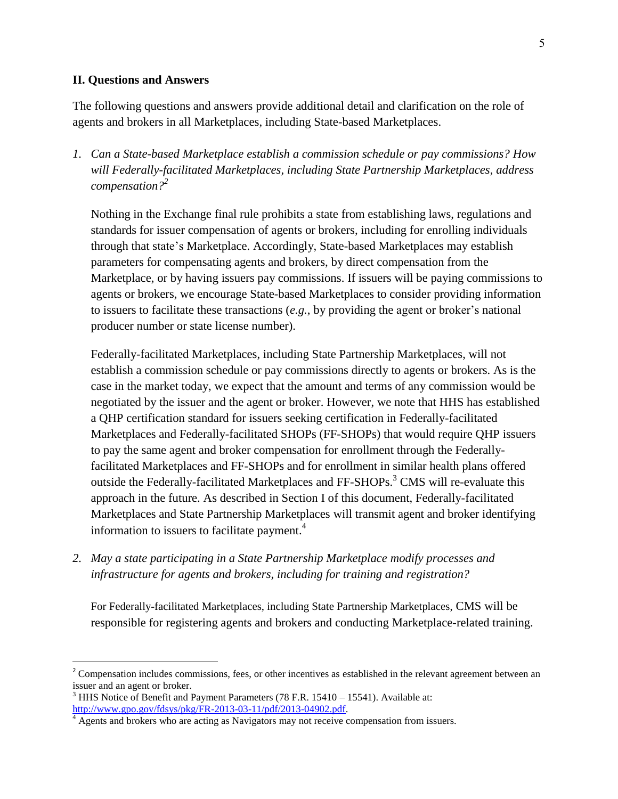#### **II. Questions and Answers**

 $\overline{a}$ 

The following questions and answers provide additional detail and clarification on the role of agents and brokers in all Marketplaces, including State-based Marketplaces.

*1. Can a State-based Marketplace establish a commission schedule or pay commissions? How will Federally-facilitated Marketplaces, including State Partnership Marketplaces, address compensation? 2*

Nothing in the Exchange final rule prohibits a state from establishing laws, regulations and standards for issuer compensation of agents or brokers, including for enrolling individuals through that state's Marketplace. Accordingly, State-based Marketplaces may establish parameters for compensating agents and brokers, by direct compensation from the Marketplace, or by having issuers pay commissions. If issuers will be paying commissions to agents or brokers, we encourage State-based Marketplaces to consider providing information to issuers to facilitate these transactions (*e.g.*, by providing the agent or broker's national producer number or state license number).

Federally-facilitated Marketplaces, including State Partnership Marketplaces, will not establish a commission schedule or pay commissions directly to agents or brokers. As is the case in the market today, we expect that the amount and terms of any commission would be negotiated by the issuer and the agent or broker. However, we note that HHS has established a QHP certification standard for issuers seeking certification in Federally-facilitated Marketplaces and Federally-facilitated SHOPs (FF-SHOPs) that would require QHP issuers to pay the same agent and broker compensation for enrollment through the Federallyfacilitated Marketplaces and FF-SHOPs and for enrollment in similar health plans offered outside the Federally-facilitated Marketplaces and FF-SHOPs.<sup>3</sup> CMS will re-evaluate this approach in the future. As described in Section I of this document, Federally-facilitated Marketplaces and State Partnership Marketplaces will transmit agent and broker identifying information to issuers to facilitate payment. 4

*2. May a state participating in a State Partnership Marketplace modify processes and infrastructure for agents and brokers, including for training and registration?*

For Federally-facilitated Marketplaces, including State Partnership Marketplaces, CMS will be responsible for registering agents and brokers and conducting Marketplace-related training.

 $2^2$  Compensation includes commissions, fees, or other incentives as established in the relevant agreement between an issuer and an agent or broker.

 $3$  HHS Notice of Benefit and Payment Parameters (78 F.R. 15410 – 15541). Available at: [http://www.gpo.gov/fdsys/pkg/FR-2013-03-11/pdf/2013-04902.pdf.](http://www.gpo.gov/fdsys/pkg/FR-2013-03-11/pdf/2013-04902.pdf)

<sup>&</sup>lt;sup>4</sup> Agents and brokers who are acting as Navigators may not receive compensation from issuers.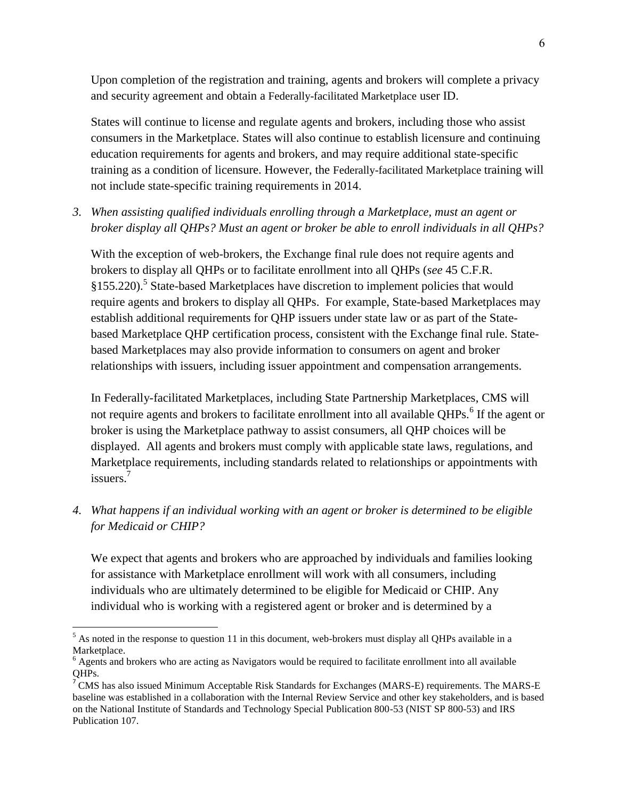Upon completion of the registration and training, agents and brokers will complete a privacy and security agreement and obtain a Federally-facilitated Marketplace user ID.

States will continue to license and regulate agents and brokers, including those who assist consumers in the Marketplace. States will also continue to establish licensure and continuing education requirements for agents and brokers, and may require additional state-specific training as a condition of licensure. However, the Federally-facilitated Marketplace training will not include state-specific training requirements in 2014.

*3. When assisting qualified individuals enrolling through a Marketplace, must an agent or broker display all QHPs? Must an agent or broker be able to enroll individuals in all QHPs?*

With the exception of web-brokers, the Exchange final rule does not require agents and brokers to display all QHPs or to facilitate enrollment into all QHPs (*see* 45 C.F.R. §155.220).<sup>5</sup> State-based Marketplaces have discretion to implement policies that would require agents and brokers to display all QHPs. For example, State-based Marketplaces may establish additional requirements for QHP issuers under state law or as part of the Statebased Marketplace QHP certification process, consistent with the Exchange final rule. Statebased Marketplaces may also provide information to consumers on agent and broker relationships with issuers, including issuer appointment and compensation arrangements.

In Federally-facilitated Marketplaces, including State Partnership Marketplaces, CMS will not require agents and brokers to facilitate enrollment into all available QHPs.<sup>6</sup> If the agent or broker is using the Marketplace pathway to assist consumers, all QHP choices will be displayed. All agents and brokers must comply with applicable state laws, regulations, and Marketplace requirements, including standards related to relationships or appointments with issuers. 7

*4. What happens if an individual working with an agent or broker is determined to be eligible for Medicaid or CHIP?*

We expect that agents and brokers who are approached by individuals and families looking for assistance with Marketplace enrollment will work with all consumers, including individuals who are ultimately determined to be eligible for Medicaid or CHIP. Any individual who is working with a registered agent or broker and is determined by a

 $\overline{a}$ 

 $<sup>5</sup>$  As noted in the response to question 11 in this document, web-brokers must display all QHPs available in a</sup> Marketplace.

<sup>6</sup> Agents and brokers who are acting as Navigators would be required to facilitate enrollment into all available QHPs.

<sup>&</sup>lt;sup>7</sup> CMS has also issued Minimum Acceptable Risk Standards for Exchanges (MARS-E) requirements. The MARS-E baseline was established in a collaboration with the Internal Review Service and other key stakeholders, and is based on the National Institute of Standards and Technology Special Publication 800-53 (NIST SP 800-53) and IRS Publication 107.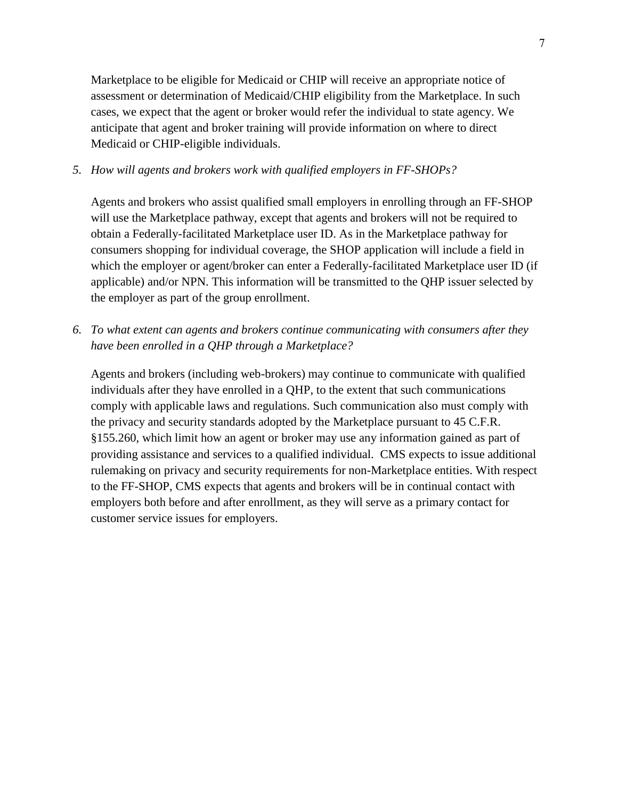Marketplace to be eligible for Medicaid or CHIP will receive an appropriate notice of assessment or determination of Medicaid/CHIP eligibility from the Marketplace. In such cases, we expect that the agent or broker would refer the individual to state agency. We anticipate that agent and broker training will provide information on where to direct Medicaid or CHIP-eligible individuals.

### *5. How will agents and brokers work with qualified employers in FF-SHOPs?*

Agents and brokers who assist qualified small employers in enrolling through an FF-SHOP will use the Marketplace pathway, except that agents and brokers will not be required to obtain a Federally-facilitated Marketplace user ID. As in the Marketplace pathway for consumers shopping for individual coverage, the SHOP application will include a field in which the employer or agent/broker can enter a Federally-facilitated Marketplace user ID (if applicable) and/or NPN. This information will be transmitted to the QHP issuer selected by the employer as part of the group enrollment.

*6. To what extent can agents and brokers continue communicating with consumers after they have been enrolled in a QHP through a Marketplace?*

Agents and brokers (including web-brokers) may continue to communicate with qualified individuals after they have enrolled in a QHP, to the extent that such communications comply with applicable laws and regulations. Such communication also must comply with the privacy and security standards adopted by the Marketplace pursuant to 45 C.F.R. §155.260, which limit how an agent or broker may use any information gained as part of providing assistance and services to a qualified individual. CMS expects to issue additional rulemaking on privacy and security requirements for non-Marketplace entities. With respect to the FF-SHOP, CMS expects that agents and brokers will be in continual contact with employers both before and after enrollment, as they will serve as a primary contact for customer service issues for employers.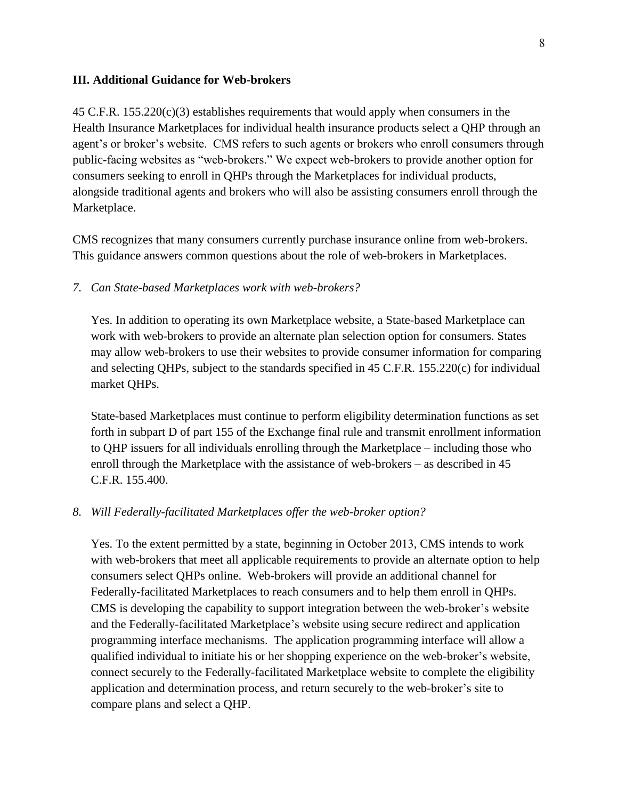#### **III. Additional Guidance for Web-brokers**

 $45$  C.F.R.  $155.220(c)(3)$  establishes requirements that would apply when consumers in the Health Insurance Marketplaces for individual health insurance products select a QHP through an agent's or broker's website. CMS refers to such agents or brokers who enroll consumers through public-facing websites as "web-brokers." We expect web-brokers to provide another option for consumers seeking to enroll in QHPs through the Marketplaces for individual products, alongside traditional agents and brokers who will also be assisting consumers enroll through the Marketplace.

CMS recognizes that many consumers currently purchase insurance online from web-brokers. This guidance answers common questions about the role of web-brokers in Marketplaces.

#### *7. Can State-based Marketplaces work with web-brokers?*

Yes. In addition to operating its own Marketplace website, a State-based Marketplace can work with web-brokers to provide an alternate plan selection option for consumers. States may allow web-brokers to use their websites to provide consumer information for comparing and selecting QHPs, subject to the standards specified in 45 C.F.R. 155.220(c) for individual market QHPs.

State-based Marketplaces must continue to perform eligibility determination functions as set forth in subpart D of part 155 of the Exchange final rule and transmit enrollment information to QHP issuers for all individuals enrolling through the Marketplace – including those who enroll through the Marketplace with the assistance of web-brokers – as described in 45 C.F.R. 155.400.

#### *8. Will Federally-facilitated Marketplaces offer the web-broker option?*

Yes. To the extent permitted by a state, beginning in October 2013, CMS intends to work with web-brokers that meet all applicable requirements to provide an alternate option to help consumers select QHPs online. Web-brokers will provide an additional channel for Federally-facilitated Marketplaces to reach consumers and to help them enroll in QHPs. CMS is developing the capability to support integration between the web-broker's website and the Federally-facilitated Marketplace's website using secure redirect and application programming interface mechanisms. The application programming interface will allow a qualified individual to initiate his or her shopping experience on the web-broker's website, connect securely to the Federally-facilitated Marketplace website to complete the eligibility application and determination process, and return securely to the web-broker's site to compare plans and select a QHP.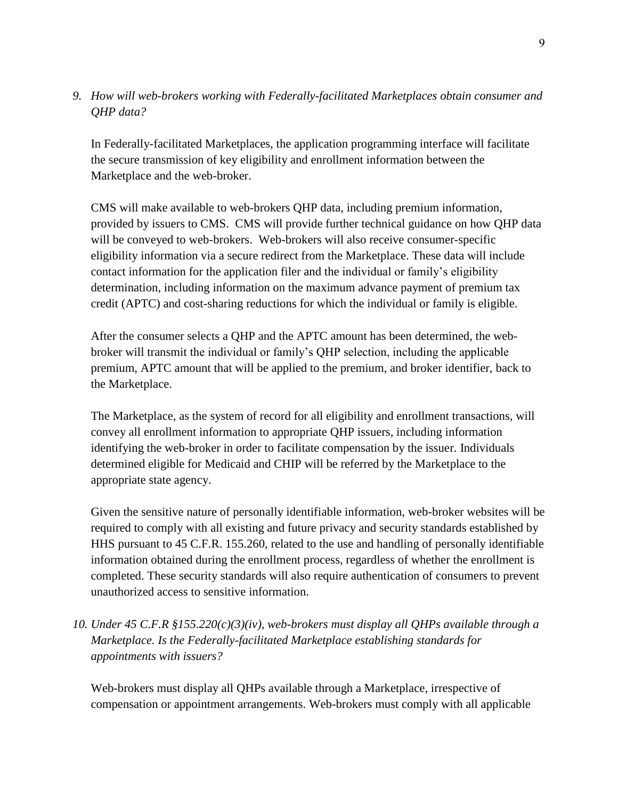# *9. How will web-brokers working with Federally-facilitated Marketplaces obtain consumer and QHP data?*

In Federally-facilitated Marketplaces, the application programming interface will facilitate the secure transmission of key eligibility and enrollment information between the Marketplace and the web-broker.

CMS will make available to web-brokers QHP data, including premium information, provided by issuers to CMS. CMS will provide further technical guidance on how QHP data will be conveyed to web-brokers. Web-brokers will also receive consumer-specific eligibility information via a secure redirect from the Marketplace. These data will include contact information for the application filer and the individual or family's eligibility determination, including information on the maximum advance payment of premium tax credit (APTC) and cost-sharing reductions for which the individual or family is eligible.

After the consumer selects a QHP and the APTC amount has been determined, the webbroker will transmit the individual or family's QHP selection, including the applicable premium, APTC amount that will be applied to the premium, and broker identifier, back to the Marketplace.

The Marketplace, as the system of record for all eligibility and enrollment transactions, will convey all enrollment information to appropriate QHP issuers, including information identifying the web-broker in order to facilitate compensation by the issuer. Individuals determined eligible for Medicaid and CHIP will be referred by the Marketplace to the appropriate state agency.

Given the sensitive nature of personally identifiable information, web-broker websites will be required to comply with all existing and future privacy and security standards established by HHS pursuant to 45 C.F.R. 155.260, related to the use and handling of personally identifiable information obtained during the enrollment process, regardless of whether the enrollment is completed. These security standards will also require authentication of consumers to prevent unauthorized access to sensitive information.

*10. Under 45 C.F.R §155.220(c)(3)(iv), web-brokers must display all QHPs available through a Marketplace. Is the Federally-facilitated Marketplace establishing standards for appointments with issuers?* 

Web-brokers must display all QHPs available through a Marketplace, irrespective of compensation or appointment arrangements. Web-brokers must comply with all applicable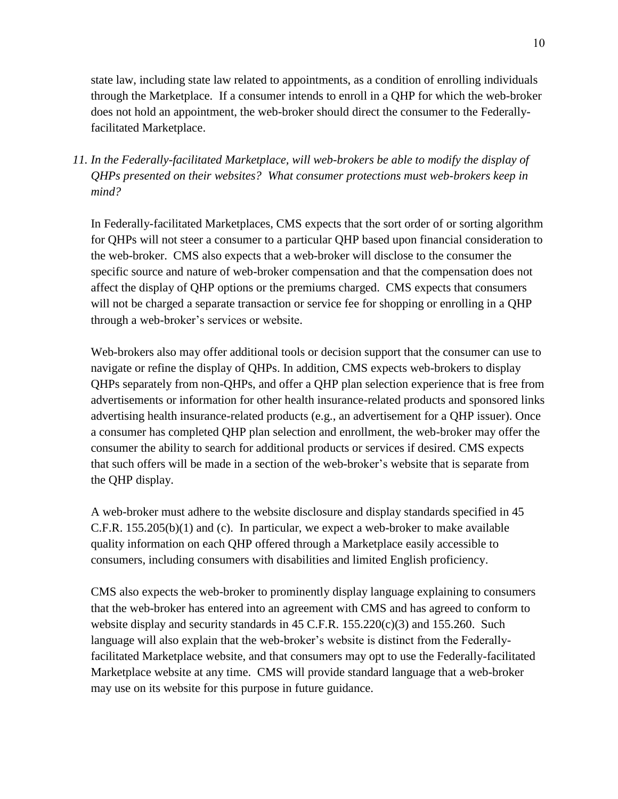state law, including state law related to appointments, as a condition of enrolling individuals through the Marketplace. If a consumer intends to enroll in a QHP for which the web-broker does not hold an appointment, the web-broker should direct the consumer to the Federallyfacilitated Marketplace.

*11. In the Federally-facilitated Marketplace, will web-brokers be able to modify the display of QHPs presented on their websites? What consumer protections must web-brokers keep in mind?*

In Federally-facilitated Marketplaces, CMS expects that the sort order of or sorting algorithm for QHPs will not steer a consumer to a particular QHP based upon financial consideration to the web-broker. CMS also expects that a web-broker will disclose to the consumer the specific source and nature of web-broker compensation and that the compensation does not affect the display of QHP options or the premiums charged. CMS expects that consumers will not be charged a separate transaction or service fee for shopping or enrolling in a QHP through a web-broker's services or website.

Web-brokers also may offer additional tools or decision support that the consumer can use to navigate or refine the display of QHPs. In addition, CMS expects web-brokers to display QHPs separately from non-QHPs, and offer a QHP plan selection experience that is free from advertisements or information for other health insurance-related products and sponsored links advertising health insurance-related products (e.g., an advertisement for a QHP issuer). Once a consumer has completed QHP plan selection and enrollment, the web-broker may offer the consumer the ability to search for additional products or services if desired. CMS expects that such offers will be made in a section of the web-broker's website that is separate from the QHP display.

A web-broker must adhere to the website disclosure and display standards specified in 45 C.F.R. 155.205(b)(1) and (c). In particular, we expect a web-broker to make available quality information on each QHP offered through a Marketplace easily accessible to consumers, including consumers with disabilities and limited English proficiency.

CMS also expects the web-broker to prominently display language explaining to consumers that the web-broker has entered into an agreement with CMS and has agreed to conform to website display and security standards in 45 C.F.R. 155.220(c)(3) and 155.260. Such language will also explain that the web-broker's website is distinct from the Federallyfacilitated Marketplace website, and that consumers may opt to use the Federally-facilitated Marketplace website at any time. CMS will provide standard language that a web-broker may use on its website for this purpose in future guidance.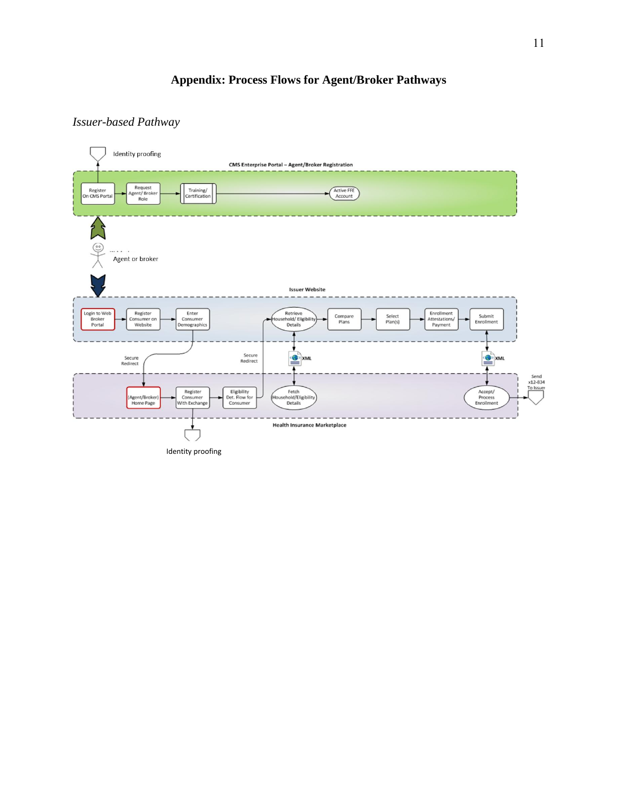# **Appendix: Process Flows for Agent/Broker Pathways**

## *Issuer-based Pathway*